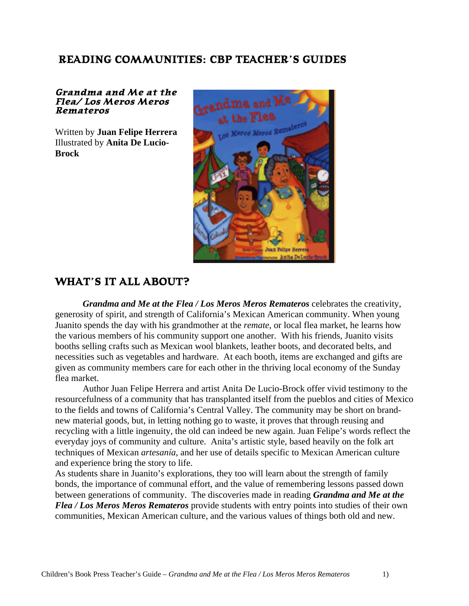## **READING COMMUNITIES: CBP TEACHER'S GUIDES**

#### **Grandma and Me at the Flea/ Los Meros Meros Remateros**

Written by **Juan Felipe Herrera** Illustrated by **Anita De Lucio-Brock**



## **WHAT'S IT ALL ABOUT?**

*Grandma and Me at the Flea / Los Meros Meros Remateros* celebrates the creativity, generosity of spirit, and strength of California's Mexican American community. When young Juanito spends the day with his grandmother at the *remate*, or local flea market, he learns how the various members of his community support one another. With his friends, Juanito visits booths selling crafts such as Mexican wool blankets, leather boots, and decorated belts, and necessities such as vegetables and hardware. At each booth, items are exchanged and gifts are given as community members care for each other in the thriving local economy of the Sunday flea market.

Author Juan Felipe Herrera and artist Anita De Lucio-Brock offer vivid testimony to the resourcefulness of a community that has transplanted itself from the pueblos and cities of Mexico to the fields and towns of California's Central Valley. The community may be short on brandnew material goods, but, in letting nothing go to waste, it proves that through reusing and recycling with a little ingenuity, the old can indeed be new again. Juan Felipe's words reflect the everyday joys of community and culture. Anita's artistic style, based heavily on the folk art techniques of Mexican *artesanía*, and her use of details specific to Mexican American culture and experience bring the story to life.

As students share in Juanito's explorations, they too will learn about the strength of family bonds, the importance of communal effort, and the value of remembering lessons passed down between generations of community. The discoveries made in reading *Grandma and Me at the Flea / Los Meros Meros Remateros* provide students with entry points into studies of their own communities, Mexican American culture, and the various values of things both old and new.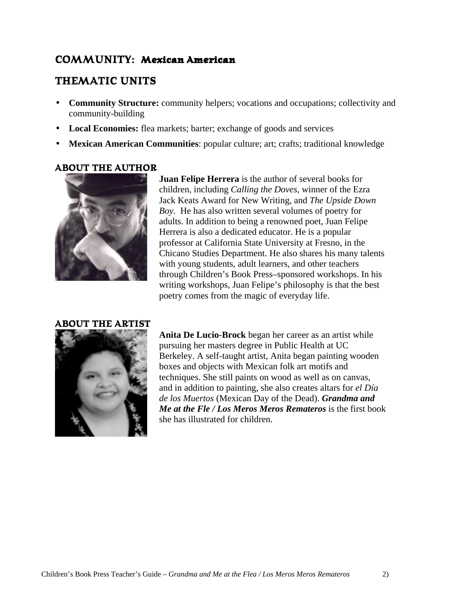## **COMMUNITY: Mexican American**

## **THEMATIC UNITS**

- **Community Structure:** community helpers; vocations and occupations; collectivity and community-building
- Local Economies: flea markets; barter; exchange of goods and services
- **Mexican American Communities**: popular culture; art; crafts; traditional knowledge

## **ABOUT THE AUTHOR**



**Juan Felipe Herrera** is the author of several books for children, including *Calling the Doves,* winner of the Ezra Jack Keats Award for New Writing, and *The Upside Down Boy.* He has also written several volumes of poetry for adults. In addition to being a renowned poet, Juan Felipe Herrera is also a dedicated educator. He is a popular professor at California State University at Fresno, in the Chicano Studies Department. He also shares his many talents with young students, adult learners, and other teachers through Children's Book Press–sponsored workshops. In his writing workshops, Juan Felipe's philosophy is that the best poetry comes from the magic of everyday life.

#### **ABOUT THE ARTIST**



**Anita De Lucio-Brock** began her career as an artist while pursuing her masters degree in Public Health at UC Berkeley. A self-taught artist, Anita began painting wooden boxes and objects with Mexican folk art motifs and techniques. She still paints on wood as well as on canvas, and in addition to painting, she also creates altars for *el Día de los Muertos* (Mexican Day of the Dead). *Grandma and Me at the Fle / Los Meros Meros Remateros* is the first book she has illustrated for children.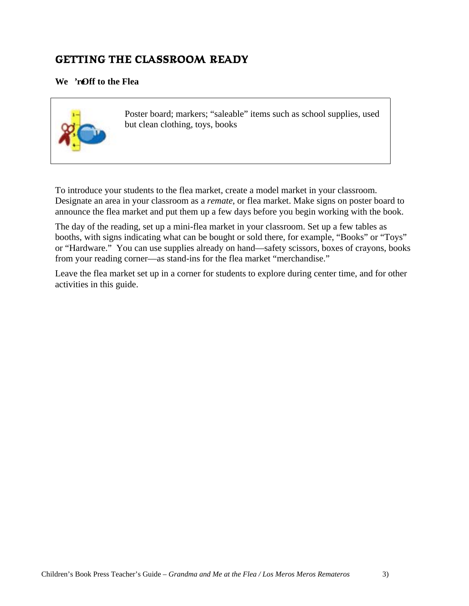## **GETTING THE CLASSROOM READY**

## We 're Off to the Flea



Poster board; markers; "saleable" items such as school supplies, used but clean clothing, toys, books

To introduce your students to the flea market, create a model market in your classroom. Designate an area in your classroom as a *remate*, or flea market. Make signs on poster board to announce the flea market and put them up a few days before you begin working with the book.

The day of the reading, set up a mini-flea market in your classroom. Set up a few tables as booths, with signs indicating what can be bought or sold there, for example, "Books" or "Toys" or "Hardware." You can use supplies already on hand—safety scissors, boxes of crayons, books from your reading corner—as stand-ins for the flea market "merchandise."

Leave the flea market set up in a corner for students to explore during center time, and for other activities in this guide.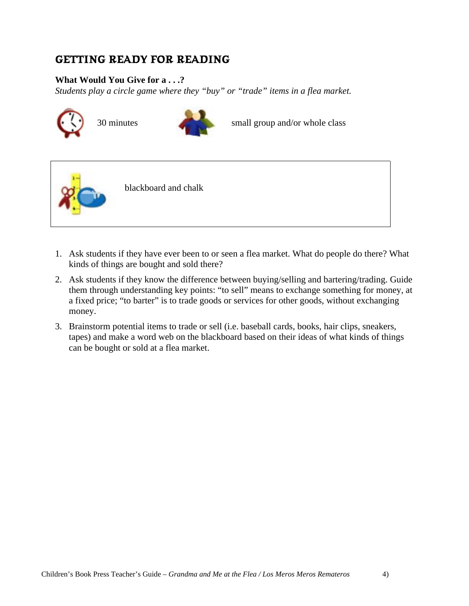## **GETTING READY FOR READING**

## **What Would You Give for a . . .?**

*Students play a circle game where they "buy" or "trade" items in a flea market.*





30 minutes small group and/or whole class



blackboard and chalk

- 1. Ask students if they have ever been to or seen a flea market. What do people do there? What kinds of things are bought and sold there?
- 2. Ask students if they know the difference between buying/selling and bartering/trading. Guide them through understanding key points: "to sell" means to exchange something for money, at a fixed price; "to barter" is to trade goods or services for other goods, without exchanging money.
- 3. Brainstorm potential items to trade or sell (i.e. baseball cards, books, hair clips, sneakers, tapes) and make a word web on the blackboard based on their ideas of what kinds of things can be bought or sold at a flea market.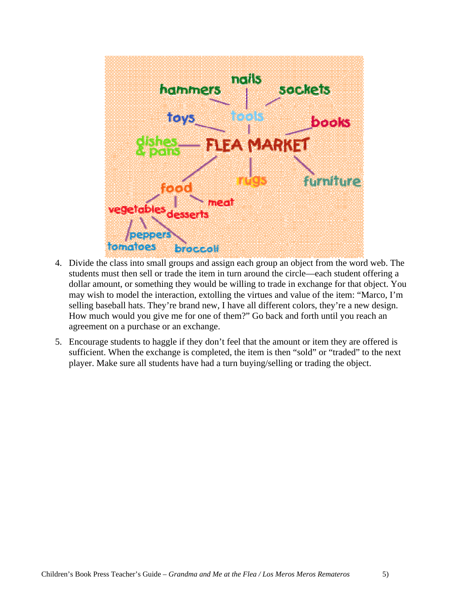

- 4. Divide the class into small groups and assign each group an object from the word web. The students must then sell or trade the item in turn around the circle—each student offering a dollar amount, or something they would be willing to trade in exchange for that object. You may wish to model the interaction, extolling the virtues and value of the item: "Marco, I'm selling baseball hats. They're brand new, I have all different colors, they're a new design. How much would you give me for one of them?" Go back and forth until you reach an agreement on a purchase or an exchange.
- 5. Encourage students to haggle if they don't feel that the amount or item they are offered is sufficient. When the exchange is completed, the item is then "sold" or "traded" to the next player. Make sure all students have had a turn buying/selling or trading the object.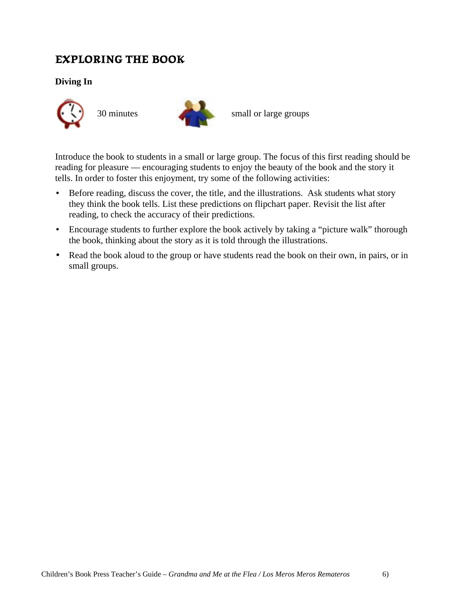## **EXPLORING THE BOOK**

**Diving In**





30 minutes small or large groups

Introduce the book to students in a small or large group. The focus of this first reading should be reading for pleasure — encouraging students to enjoy the beauty of the book and the story it tells. In order to foster this enjoyment, try some of the following activities:

- Before reading, discuss the cover, the title, and the illustrations. Ask students what story they think the book tells. List these predictions on flipchart paper. Revisit the list after reading, to check the accuracy of their predictions.
- Encourage students to further explore the book actively by taking a "picture walk" thorough the book, thinking about the story as it is told through the illustrations.
- Read the book aloud to the group or have students read the book on their own, in pairs, or in small groups.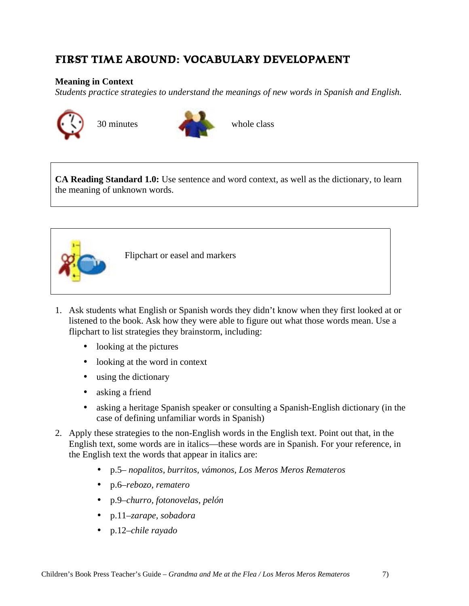## **FIRST TIME AROUND: VOCABULARY DEVELOPMENT**

#### **Meaning in Context**

*Students practice strategies to understand the meanings of new words in Spanish and English.*





**CA Reading Standard 1.0:** Use sentence and word context, as well as the dictionary, to learn the meaning of unknown words.



Flipchart or easel and markers

- 1. Ask students what English or Spanish words they didn't know when they first looked at or listened to the book. Ask how they were able to figure out what those words mean. Use a flipchart to list strategies they brainstorm, including:
	- looking at the pictures
	- looking at the word in context
	- using the dictionary
	- asking a friend
	- asking a heritage Spanish speaker or consulting a Spanish-English dictionary (in the case of defining unfamiliar words in Spanish)
- 2. Apply these strategies to the non-English words in the English text. Point out that, in the English text, some words are in italics—these words are in Spanish. For your reference, in the English text the words that appear in italics are:
	- p.5– *nopalitos, burritos, vámonos, Los Meros Meros Remateros*
	- p.6–*rebozo, rematero*
	- p.9–*churro, fotonovelas, pelón*
	- p.11–*zarape, sobadora*
	- p.12–*chile rayado*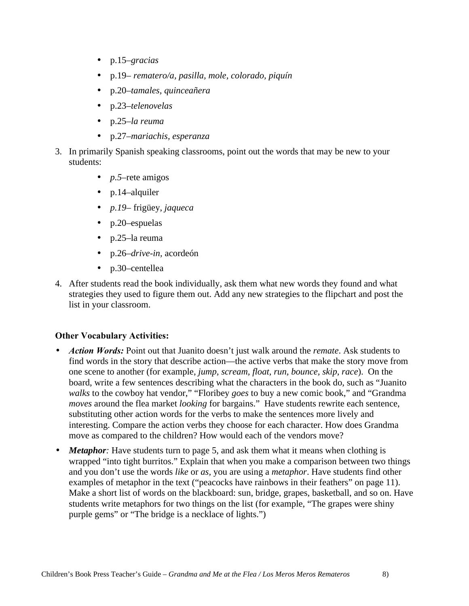- p.15–*gracias*
- p.19– *rematero/a, pasilla, mole, colorado, piquín*
- p.20–*tamales, quinceañera*
- p.23–*telenovelas*
- p.25–*la reuma*
- p.27–*mariachis, esperanza*
- 3. In primarily Spanish speaking classrooms, point out the words that may be new to your students:
	- *p.5*–rete amigos
	- p.14–alquiler
	- *p.19–* frigüey, *jaqueca*
	- p.20–espuelas
	- p.25–la reuma
	- p.26–*drive-in,* acordeón
	- p.30–centellea
- 4. After students read the book individually, ask them what new words they found and what strategies they used to figure them out. Add any new strategies to the flipchart and post the list in your classroom.

## **Other Vocabulary Activities:**

- *Action Words:* Point out that Juanito doesn't just walk around the *remate*. Ask students to find words in the story that describe action—the active verbs that make the story move from one scene to another (for example, *jump, scream, float, run, bounce, skip, race*). On the board, write a few sentences describing what the characters in the book do, such as "Juanito *walks* to the cowboy hat vendor," "Floribey *goes* to buy a new comic book," and "Grandma *moves* around the flea market *looking* for bargains." Have students rewrite each sentence, substituting other action words for the verbs to make the sentences more lively and interesting. Compare the action verbs they choose for each character. How does Grandma move as compared to the children? How would each of the vendors move?
- *Metaphor*: Have students turn to page 5, and ask them what it means when clothing is wrapped "into tight burritos." Explain that when you make a comparison between two things and you don't use the words *like* or *as,* you are using a *metaphor*. Have students find other examples of metaphor in the text ("peacocks have rainbows in their feathers" on page 11). Make a short list of words on the blackboard: sun, bridge, grapes, basketball, and so on. Have students write metaphors for two things on the list (for example, "The grapes were shiny purple gems" or "The bridge is a necklace of lights.")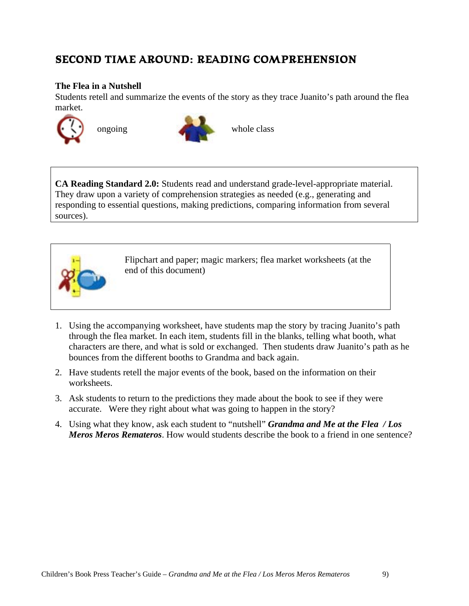## **SECOND TIME AROUND: READING COMPREHENSION**

#### **The Flea in a Nutshell**

Students retell and summarize the events of the story as they trace Juanito's path around the flea market.





**CA Reading Standard 2.0:** Students read and understand grade-level-appropriate material. They draw upon a variety of comprehension strategies as needed (e.g., generating and responding to essential questions, making predictions, comparing information from several sources).



Flipchart and paper; magic markers; flea market worksheets (at the end of this document)

- 1. Using the accompanying worksheet, have students map the story by tracing Juanito's path through the flea market. In each item, students fill in the blanks, telling what booth, what characters are there, and what is sold or exchanged. Then students draw Juanito's path as he bounces from the different booths to Grandma and back again.
- 2. Have students retell the major events of the book, based on the information on their worksheets.
- 3. Ask students to return to the predictions they made about the book to see if they were accurate. Were they right about what was going to happen in the story?
- 4. Using what they know, ask each student to "nutshell" *Grandma and Me at the Flea / Los Meros Meros Remateros*. How would students describe the book to a friend in one sentence?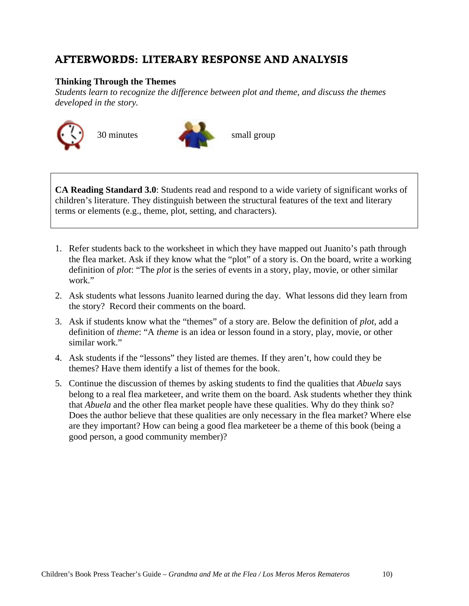## **AFTERWORDS: LITERARY RESPONSE AND ANALYSIS**

#### **Thinking Through the Themes**

*Students learn to recognize the difference between plot and theme, and discuss the themes developed in the story.*





**CA Reading Standard 3.0**: Students read and respond to a wide variety of significant works of children's literature. They distinguish between the structural features of the text and literary terms or elements (e.g., theme, plot, setting, and characters).

- 1. Refer students back to the worksheet in which they have mapped out Juanito's path through the flea market. Ask if they know what the "plot" of a story is. On the board, write a working definition of *plot*: "The *plot* is the series of events in a story, play, movie, or other similar work."
- 2. Ask students what lessons Juanito learned during the day. What lessons did they learn from the story? Record their comments on the board.
- 3. Ask if students know what the "themes" of a story are. Below the definition of *plot*, add a definition of *theme*: "A *theme* is an idea or lesson found in a story, play, movie, or other similar work."
- 4. Ask students if the "lessons" they listed are themes. If they aren't, how could they be themes? Have them identify a list of themes for the book.
- 5. Continue the discussion of themes by asking students to find the qualities that *Abuela* says belong to a real flea marketeer, and write them on the board. Ask students whether they think that *Abuela* and the other flea market people have these qualities. Why do they think so? Does the author believe that these qualities are only necessary in the flea market? Where else are they important? How can being a good flea marketeer be a theme of this book (being a good person, a good community member)?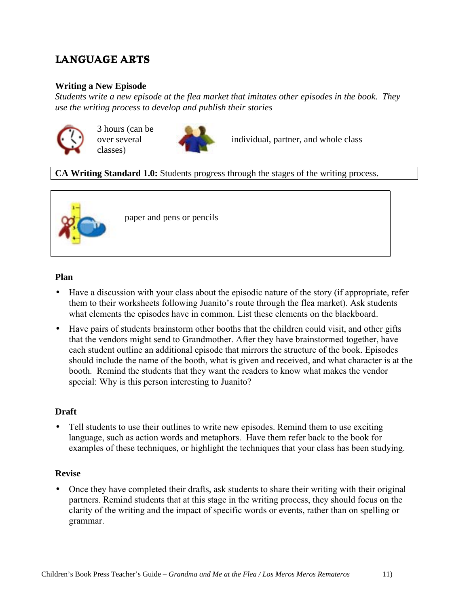## **LANGUAGE ARTS**

#### **Writing a New Episode**

*Students write a new episode at the flea market that imitates other episodes in the book. They use the writing process to develop and publish their stories*



3 hours (can be over several classes)



individual, partner, and whole class

## **CA Writing Standard 1.0:** Students progress through the stages of the writing process.



paper and pens or pencils

#### **Plan**

- Have a discussion with your class about the episodic nature of the story (if appropriate, refer them to their worksheets following Juanito's route through the flea market). Ask students what elements the episodes have in common. List these elements on the blackboard.
- Have pairs of students brainstorm other booths that the children could visit, and other gifts that the vendors might send to Grandmother. After they have brainstormed together, have each student outline an additional episode that mirrors the structure of the book. Episodes should include the name of the booth, what is given and received, and what character is at the booth. Remind the students that they want the readers to know what makes the vendor special: Why is this person interesting to Juanito?

#### **Draft**

Tell students to use their outlines to write new episodes. Remind them to use exciting language, such as action words and metaphors. Have them refer back to the book for examples of these techniques, or highlight the techniques that your class has been studying.

#### **Revise**

• Once they have completed their drafts, ask students to share their writing with their original partners. Remind students that at this stage in the writing process, they should focus on the clarity of the writing and the impact of specific words or events, rather than on spelling or grammar.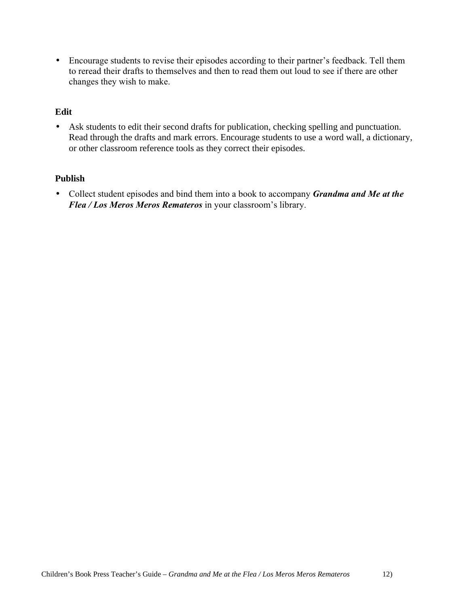• Encourage students to revise their episodes according to their partner's feedback. Tell them to reread their drafts to themselves and then to read them out loud to see if there are other changes they wish to make.

#### **Edit**

• Ask students to edit their second drafts for publication, checking spelling and punctuation. Read through the drafts and mark errors. Encourage students to use a word wall, a dictionary, or other classroom reference tools as they correct their episodes.

#### **Publish**

• Collect student episodes and bind them into a book to accompany *Grandma and Me at the Flea / Los Meros Meros Remateros* in your classroom's library.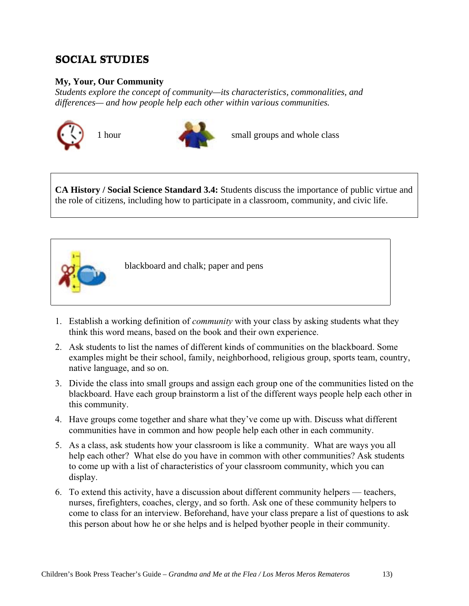## **SOCIAL STUDIES**

## **My, Your, Our Community**

*Students explore the concept of community—its characteristics, commonalities, and differences— and how people help each other within various communities.*





1 hour small groups and whole class

**CA History / Social Science Standard 3.4:** Students discuss the importance of public virtue and the role of citizens, including how to participate in a classroom, community, and civic life.



blackboard and chalk; paper and pens

- 1. Establish a working definition of *community* with your class by asking students what they think this word means, based on the book and their own experience.
- 2. Ask students to list the names of different kinds of communities on the blackboard. Some examples might be their school, family, neighborhood, religious group, sports team, country, native language, and so on.
- 3. Divide the class into small groups and assign each group one of the communities listed on the blackboard. Have each group brainstorm a list of the different ways people help each other in this community.
- 4. Have groups come together and share what they've come up with. Discuss what different communities have in common and how people help each other in each community.
- 5. As a class, ask students how your classroom is like a community. What are ways you all help each other? What else do you have in common with other communities? Ask students to come up with a list of characteristics of your classroom community, which you can display.
- 6. To extend this activity, have a discussion about different community helpers teachers, nurses, firefighters, coaches, clergy, and so forth. Ask one of these community helpers to come to class for an interview. Beforehand, have your class prepare a list of questions to ask this person about how he or she helps and is helped byother people in their community.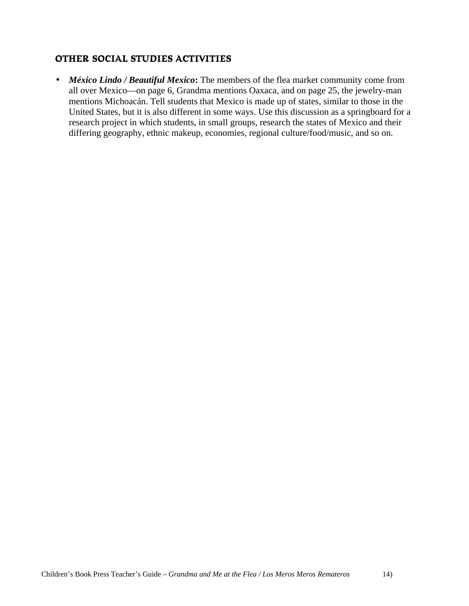## **OTHER SOCIAL STUDIES ACTIVITIES**

• *México Lindo / Beautiful Mexico***:** The members of the flea market community come from all over Mexico—on page 6, Grandma mentions Oaxaca, and on page 25, the jewelry-man mentions Michoacán. Tell students that Mexico is made up of states, similar to those in the United States, but it is also different in some ways. Use this discussion as a springboard for a research project in which students, in small groups, research the states of Mexico and their differing geography, ethnic makeup, economies, regional culture/food/music, and so on.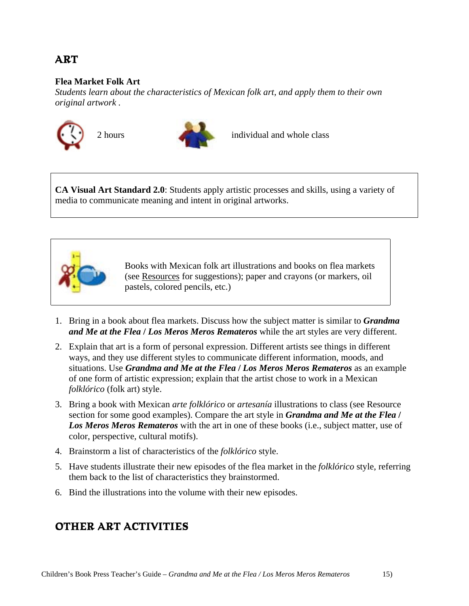## **ART**

#### **Flea Market Folk Art**

*Students learn about the characteristics of Mexican folk art, and apply them to their own original artwork .*





2 hours individual and whole class

**CA Visual Art Standard 2.0**: Students apply artistic processes and skills, using a variety of media to communicate meaning and intent in original artworks.



Books with Mexican folk art illustrations and books on flea markets (see Resources for suggestions); paper and crayons (or markers, oil pastels, colored pencils, etc.)

- 1. Bring in a book about flea markets. Discuss how the subject matter is similar to *Grandma and Me at the Flea* **/** *Los Meros Meros Remateros* while the art styles are very different.
- 2. Explain that art is a form of personal expression. Different artists see things in different ways, and they use different styles to communicate different information, moods, and situations. Use *Grandma and Me at the Flea* **/** *Los Meros Meros Remateros* as an example of one form of artistic expression; explain that the artist chose to work in a Mexican *folklórico* (folk art) style.
- 3. Bring a book with Mexican *arte folklórico* or *artesanía* illustrations to class (see Resource section for some good examples). Compare the art style in *Grandma and Me at the Flea* **/** *Los Meros Meros Remateros* with the art in one of these books (i.e., subject matter, use of color, perspective, cultural motifs).
- 4. Brainstorm a list of characteristics of the *folklórico* style.
- 5. Have students illustrate their new episodes of the flea market in the *folklórico* style, referring them back to the list of characteristics they brainstormed.
- 6. Bind the illustrations into the volume with their new episodes.

## **OTHER ART ACTIVITIES**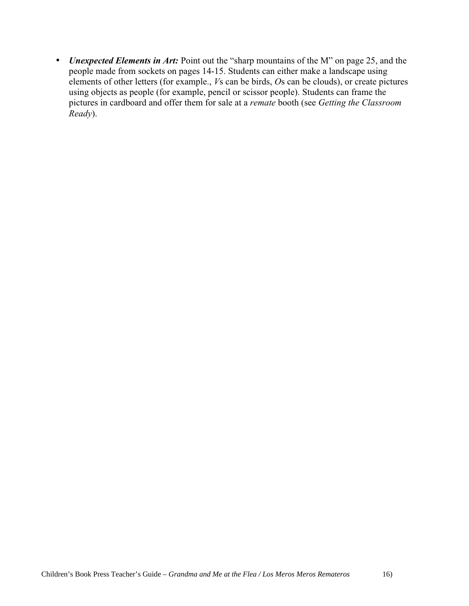• *Unexpected Elements in Art:* Point out the "sharp mountains of the M" on page 25, and the people made from sockets on pages 14-15. Students can either make a landscape using elements of other letters (for example., *V*s can be birds, *O*s can be clouds), or create pictures using objects as people (for example, pencil or scissor people). Students can frame the pictures in cardboard and offer them for sale at a *remate* booth (see *Getting the Classroom Ready*).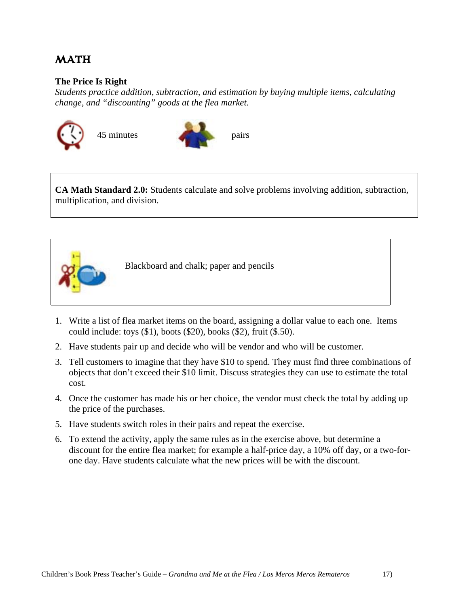## **MATH**

#### **The Price Is Right**

*Students practice addition, subtraction, and estimation by buying multiple items, calculating change, and "discounting" goods at the flea market.*





**CA Math Standard 2.0:** Students calculate and solve problems involving addition, subtraction, multiplication, and division.



Blackboard and chalk; paper and pencils

- 1. Write a list of flea market items on the board, assigning a dollar value to each one. Items could include: toys (\$1), boots (\$20), books (\$2), fruit (\$.50).
- 2. Have students pair up and decide who will be vendor and who will be customer.
- 3. Tell customers to imagine that they have \$10 to spend. They must find three combinations of objects that don't exceed their \$10 limit. Discuss strategies they can use to estimate the total cost.
- 4. Once the customer has made his or her choice, the vendor must check the total by adding up the price of the purchases.
- 5. Have students switch roles in their pairs and repeat the exercise.
- 6. To extend the activity, apply the same rules as in the exercise above, but determine a discount for the entire flea market; for example a half-price day, a 10% off day, or a two-forone day. Have students calculate what the new prices will be with the discount.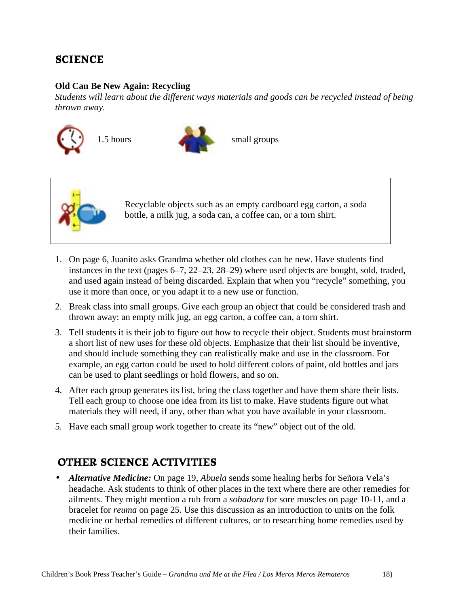## **SCIENCE**

#### **Old Can Be New Again: Recycling**

*Students will learn about the different ways materials and goods can be recycled instead of being thrown away.*







Recyclable objects such as an empty cardboard egg carton, a soda bottle, a milk jug, a soda can, a coffee can, or a torn shirt.

- 1. On page 6, Juanito asks Grandma whether old clothes can be new. Have students find instances in the text (pages 6–7, 22–23, 28–29) where used objects are bought, sold, traded, and used again instead of being discarded. Explain that when you "recycle" something, you use it more than once, or you adapt it to a new use or function.
- 2. Break class into small groups. Give each group an object that could be considered trash and thrown away: an empty milk jug, an egg carton, a coffee can, a torn shirt.
- 3. Tell students it is their job to figure out how to recycle their object. Students must brainstorm a short list of new uses for these old objects. Emphasize that their list should be inventive, and should include something they can realistically make and use in the classroom. For example, an egg carton could be used to hold different colors of paint, old bottles and jars can be used to plant seedlings or hold flowers, and so on.
- 4. After each group generates its list, bring the class together and have them share their lists. Tell each group to choose one idea from its list to make. Have students figure out what materials they will need, if any, other than what you have available in your classroom.
- 5. Have each small group work together to create its "new" object out of the old.

## **OTHER SCIENCE ACTIVITIES**

• *Alternative Medicine:* On page 19, *Abuela* sends some healing herbs for Señora Vela's headache. Ask students to think of other places in the text where there are other remedies for ailments. They might mention a rub from a *sobadora* for sore muscles on page 10-11, and a bracelet for *reuma* on page 25. Use this discussion as an introduction to units on the folk medicine or herbal remedies of different cultures, or to researching home remedies used by their families.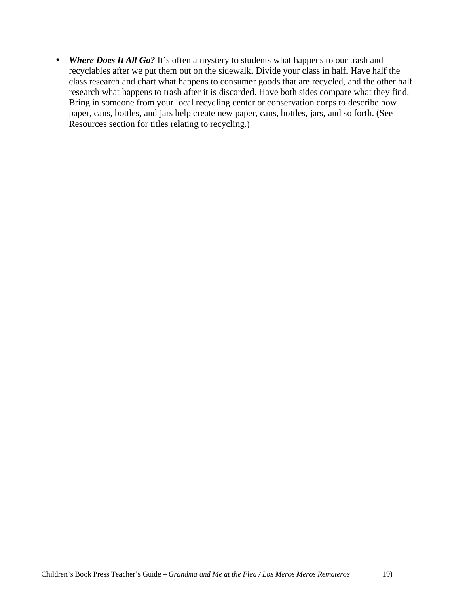• *Where Does It All Go?* It's often a mystery to students what happens to our trash and recyclables after we put them out on the sidewalk. Divide your class in half. Have half the class research and chart what happens to consumer goods that are recycled, and the other half research what happens to trash after it is discarded. Have both sides compare what they find. Bring in someone from your local recycling center or conservation corps to describe how paper, cans, bottles, and jars help create new paper, cans, bottles, jars, and so forth. (See Resources section for titles relating to recycling.)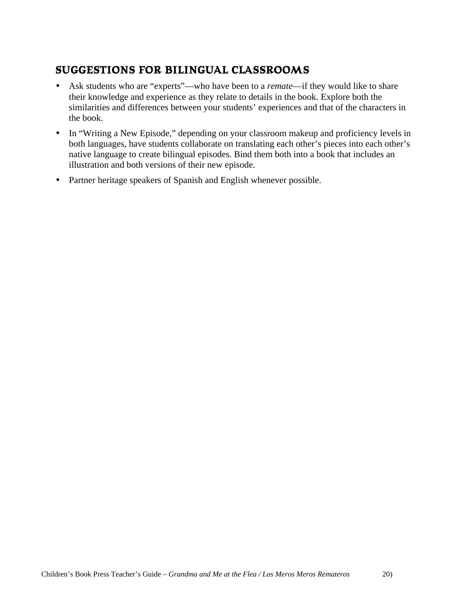## **SUGGESTIONS FOR BILINGUAL CLASSROOMS**

- Ask students who are "experts"—who have been to a *remate*—if they would like to share their knowledge and experience as they relate to details in the book. Explore both the similarities and differences between your students' experiences and that of the characters in the book.
- In "Writing a New Episode," depending on your classroom makeup and proficiency levels in both languages, have students collaborate on translating each other's pieces into each other's native language to create bilingual episodes. Bind them both into a book that includes an illustration and both versions of their new episode.
- Partner heritage speakers of Spanish and English whenever possible.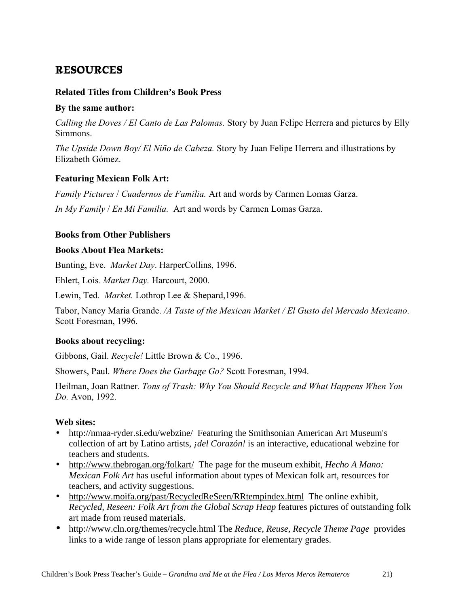## **RESOURCES**

#### **Related Titles from Children's Book Press**

#### **By the same author:**

*Calling the Doves / El Canto de Las Palomas.* Story by Juan Felipe Herrera and pictures by Elly Simmons.

*The Upside Down Boy/ El Niño de Cabeza.* Story by Juan Felipe Herrera and illustrations by Elizabeth Gómez.

## **Featuring Mexican Folk Art:**

*Family Pictures* / *Cuadernos de Familia.* Art and words by Carmen Lomas Garza.

*In My Family* / *En Mi Familia.* Art and words by Carmen Lomas Garza.

#### **Books from Other Publishers**

#### **Books About Flea Markets:**

Bunting, Eve. *Market Day*. HarperCollins, 1996.

Ehlert, Lois*. Market Day.* Harcourt, 2000.

Lewin, Ted*. Market.* Lothrop Lee & Shepard,1996.

Tabor, Nancy Maria Grande. */A Taste of the Mexican Market / El Gusto del Mercado Mexicano*. Scott Foresman, 1996.

## **Books about recycling:**

Gibbons, Gail. *Recycle!* Little Brown & Co., 1996.

Showers, Paul. *Where Does the Garbage Go?* Scott Foresman, 1994.

Heilman, Joan Rattner*. Tons of Trash: Why You Should Recycle and What Happens When You Do.* Avon, 1992.

## **Web sites:**

- http://nmaa-ryder.si.edu/webzine/ Featuring the Smithsonian American Art Museum's collection of art by Latino artists, *¡del Corazón!* is an interactive, educational webzine for teachers and students.
- http://www.thebrogan.org/folkart/ The page for the museum exhibit, *Hecho A Mano: Mexican Folk Art* has useful information about types of Mexican folk art, resources for teachers, and activity suggestions.
- http://www.moifa.org/past/RecycledReSeen/RRtempindex.html The online exhibit, *Recycled, Reseen: Folk Art from the Global Scrap Heap* features pictures of outstanding folk art made from reused materials.
- http://www.cln.org/themes/recycle.html The *Reduce, Reuse, Recycle Theme Page* provides links to a wide range of lesson plans appropriate for elementary grades.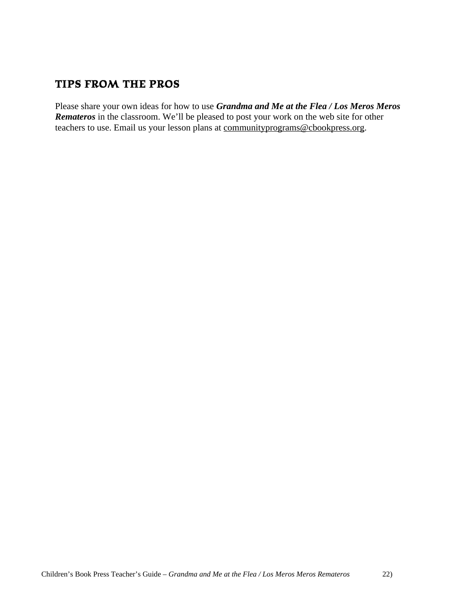## **TIPS FROM THE PROS**

Please share your own ideas for how to use *Grandma and Me at the Flea / Los Meros Meros Remateros* in the classroom. We'll be pleased to post your work on the web site for other teachers to use. Email us your lesson plans at communityprograms@cbookpress.org.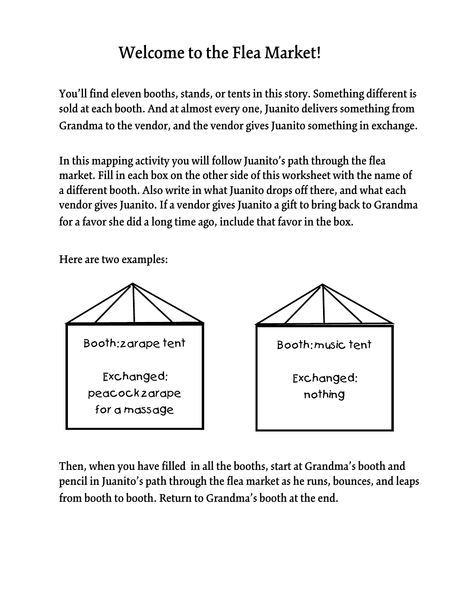## Welcome to the Flea Market!

You'll find eleven booths, stands, or tents in this story. Something different is sold at each booth. And at almost every one, Juanito delivers something from Grandma to the vendor, and the vendor gives Juanito something in exchange.

In this mapping activity you will follow Juanito's path through the flea market. Fill in each box on the other side of this worksheet with the name of a different booth. Also write in what Juanito drops off there, and what each vendor gives Juanito. If a vendor gives Juanito a gift to bring back to Grandma for a favor she did a long time ago, include that favor in the box.

Here are two examples:



Then, when you have filled in all the booths, start at Grandma's booth and pencil in Juanito's path through the flea market as he runs, bounces, and leaps from booth to booth. Return to Grandma's booth at the end.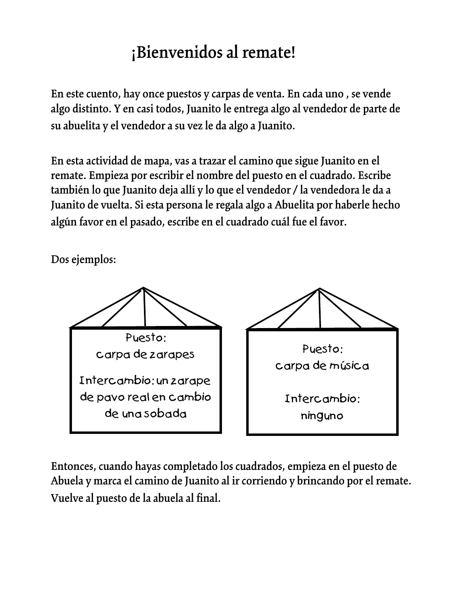# ¡Bienvenidos al remate!

En este cuento, hay once puestos y carpas de venta. En cada uno , se vende algo distinto. Y en casi todos, Juanito le entrega algo al vendedor de parte de su abuelita y el vendedor a su vez le da algo a Juanito.

En esta actividad de mapa, vas a trazar el camino que sigue Juanito en el remate. Empieza por escribir el nombre del puesto en el cuadrado. Escribe también lo que Juanito deja allí y lo que el vendedor / la vendedora le da a Juanito de vuelta. Si esta persona le regala algo a Abuelita por haberle hecho algún favor en el pasado, escribe en el cuadrado cuál fue el favor.

Dos ejemplos:



Entonces, cuando hayas completado los cuadrados, empieza en el puesto de Abuela y marca el camino de Juanito al ir corriendo y brincando por el remate. Vuelve al puesto de la abuela al final.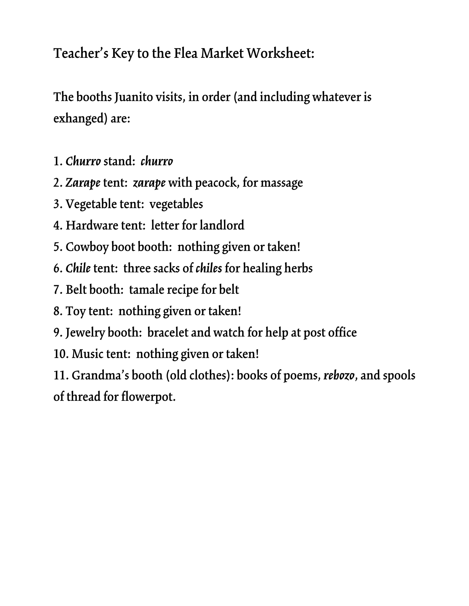## Teacher's Key to the Flea Market Worksheet:

The booths Juanito visits, in order (and including whatever is exhanged) are:

- 1. *Churro*stand: *churro*
- 2. *Zarape* tent: *zarape* with peacock, for massage
- 3. Vegetable tent: vegetables
- 4. Hardware tent: letter for landlord
- 5. Cowboy boot booth: nothing given or taken!
- 6. *Chile* tent: three sacks of *chiles* for healing herbs
- 7. Belt booth: tamale recipe for belt
- 8. Toy tent: nothing given or taken!
- 9. Jewelry booth: bracelet and watch for help at post office
- 10. Music tent: nothing given or taken!

11. Grandma's booth (old clothes): books of poems, *rebozo*, and spools of thread for flowerpot.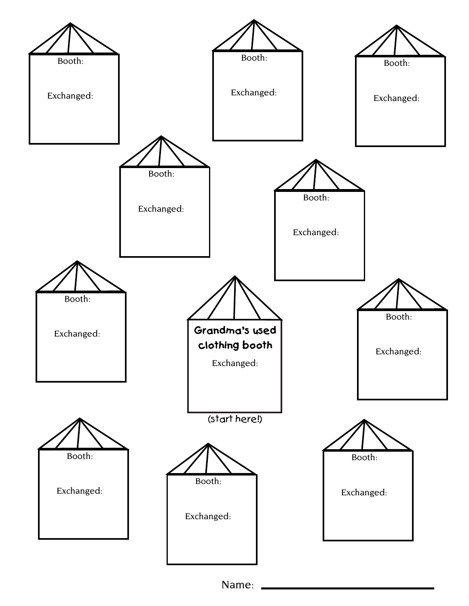